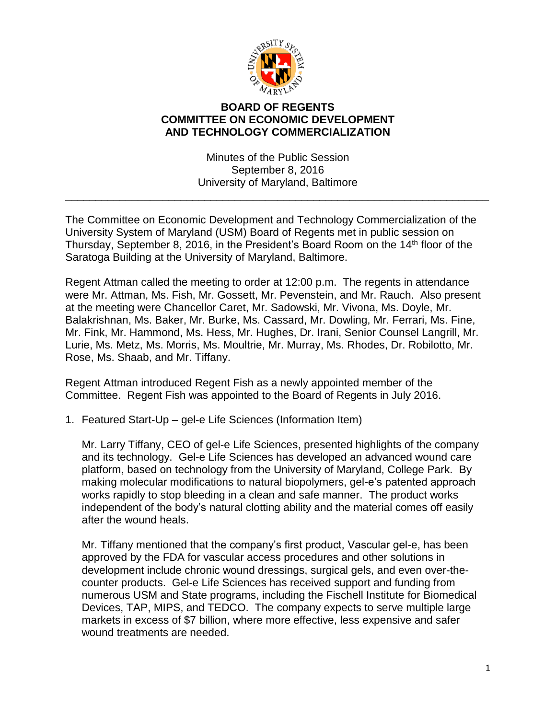

## **BOARD OF REGENTS COMMITTEE ON ECONOMIC DEVELOPMENT AND TECHNOLOGY COMMERCIALIZATION**

Minutes of the Public Session September 8, 2016 University of Maryland, Baltimore

\_\_\_\_\_\_\_\_\_\_\_\_\_\_\_\_\_\_\_\_\_\_\_\_\_\_\_\_\_\_\_\_\_\_\_\_\_\_\_\_\_\_\_\_\_\_\_\_\_\_\_\_\_\_\_\_\_\_\_\_\_\_\_\_\_\_\_\_\_\_

The Committee on Economic Development and Technology Commercialization of the University System of Maryland (USM) Board of Regents met in public session on Thursday, September 8, 2016, in the President's Board Room on the 14<sup>th</sup> floor of the Saratoga Building at the University of Maryland, Baltimore.

Regent Attman called the meeting to order at 12:00 p.m. The regents in attendance were Mr. Attman, Ms. Fish, Mr. Gossett, Mr. Pevenstein, and Mr. Rauch. Also present at the meeting were Chancellor Caret, Mr. Sadowski, Mr. Vivona, Ms. Doyle, Mr. Balakrishnan, Ms. Baker, Mr. Burke, Ms. Cassard, Mr. Dowling, Mr. Ferrari, Ms. Fine, Mr. Fink, Mr. Hammond, Ms. Hess, Mr. Hughes, Dr. Irani, Senior Counsel Langrill, Mr. Lurie, Ms. Metz, Ms. Morris, Ms. Moultrie, Mr. Murray, Ms. Rhodes, Dr. Robilotto, Mr. Rose, Ms. Shaab, and Mr. Tiffany.

Regent Attman introduced Regent Fish as a newly appointed member of the Committee. Regent Fish was appointed to the Board of Regents in July 2016.

1. Featured Start-Up – gel-e Life Sciences (Information Item)

Mr. Larry Tiffany, CEO of gel-e Life Sciences, presented highlights of the company and its technology. Gel-e Life Sciences has developed an advanced wound care platform, based on technology from the University of Maryland, College Park. By making molecular modifications to natural biopolymers, gel-e's patented approach works rapidly to stop bleeding in a clean and safe manner. The product works independent of the body's natural clotting ability and the material comes off easily after the wound heals.

Mr. Tiffany mentioned that the company's first product, Vascular gel-e, has been approved by the FDA for vascular access procedures and other solutions in development include chronic wound dressings, surgical gels, and even over-thecounter products. Gel-e Life Sciences has received support and funding from numerous USM and State programs, including the Fischell Institute for Biomedical Devices, TAP, MIPS, and TEDCO. The company expects to serve multiple large markets in excess of \$7 billion, where more effective, less expensive and safer wound treatments are needed.